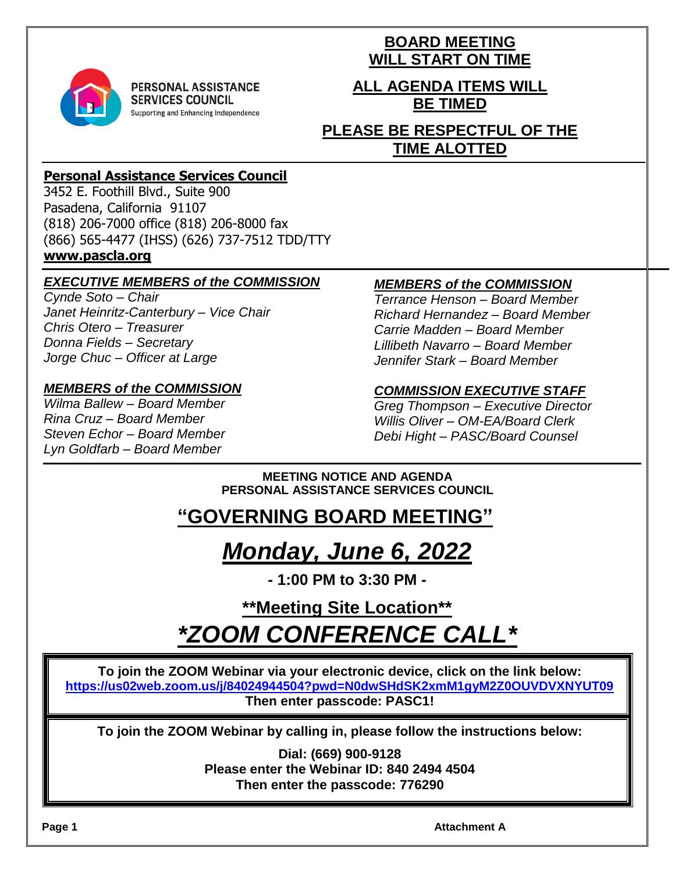

PERSONAL ASSISTANCE **SERVICES COUNCIL** Supporting and Enhancing Independence

# **BOARD MEETING WILL START ON TIME**

# **ALL AGENDA ITEMS WILL BE TIMED**

# **PLEASE BE RESPECTFUL OF THE TIME ALOTTED**

### **[Personal](http://www.ccda.ca.gov/) Assistance Services Council**

3452 E. Foothill Blvd., Suite 900 Pasadena, California 91107 (818) 206-7000 office (818) 206-8000 fax (866) 565-4477 (IHSS) (626) 737-7512 TDD/TTY **[www.pascla.org](http://www.pascla.org/)**

#### *EXECUTIVE MEMBERS of the COMMISSION*

*Cynde Soto – Chair Janet Heinritz-Canterbury – Vice Chair Chris Otero – Treasurer Donna Fields – Secretary Jorge Chuc – Officer at Large* 

#### *MEMBERS of the COMMISSION*

*Wilma Ballew – Board Member Rina Cruz – Board Member Steven Echor – Board Member Lyn Goldfarb – Board Member* 

#### *MEMBERS of the COMMISSION*

*Terrance Henson – Board Member Richard Hernandez – Board Member Carrie Madden – Board Member Lillibeth Navarro – Board Member Jennifer Stark – Board Member*

#### *COMMISSION EXECUTIVE STAFF*

*Greg Thompson – Executive Director Willis Oliver – OM-EA/Board Clerk Debi Hight – PASC/Board Counsel*

#### **MEETING NOTICE AND AGENDA PERSONAL ASSISTANCE SERVICES COUNCIL**

# **"GOVERNING BOARD MEETING"**

# *Monday, June 6, 2022*

**- 1:00 PM to 3:30 PM -**

**\*\*Meeting Site Location\*\***

# *\*ZOOM CONFERENCE CALL\**

**To join the ZOOM Webinar via your electronic device, click on the link below: <https://us02web.zoom.us/j/84024944504?pwd=N0dwSHdSK2xmM1gyM2Z0OUVDVXNYUT09> Then enter passcode: PASC1!**

**To join the ZOOM Webinar by calling in, please follow the instructions below:**

**Dial: (669) 900-9128 Please enter the Webinar ID: 840 2494 4504 Then enter the passcode: 776290**

**Page 1** Attachment A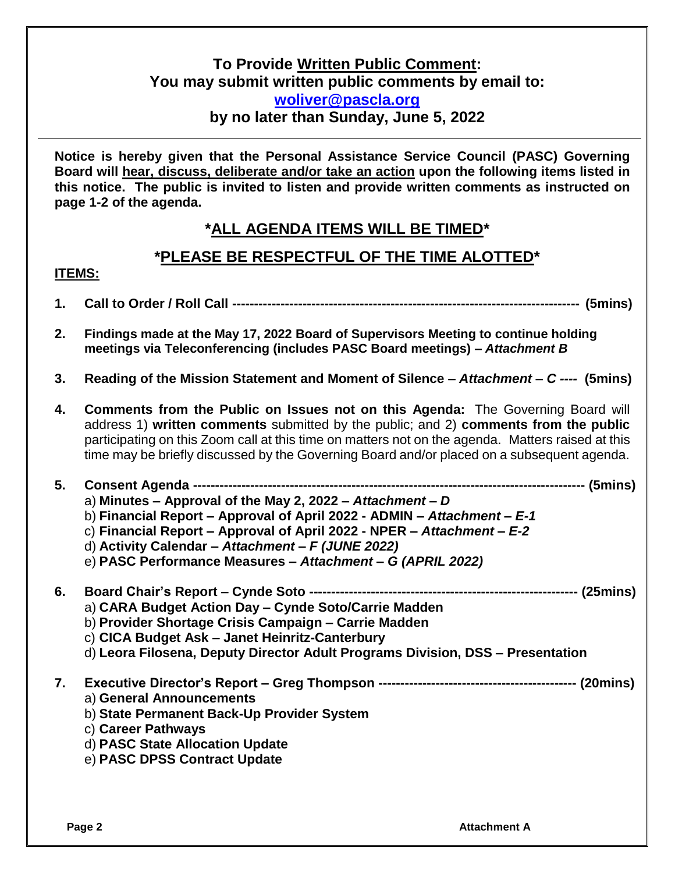## **To Provide Written Public Comment: You may submit written public comments by email to: [woliver@pascla.org](mailto:woliver@pascla.org) by no later than Sunday, June 5, 2022**

**Notice is hereby given that the Personal Assistance Service Council (PASC) Governing Board will hear, discuss, deliberate and/or take an action upon the following items listed in this notice. The public is invited to listen and provide written comments as instructed on page 1-2 of the agenda.**

# **\*ALL AGENDA ITEMS WILL BE TIMED\***

## **\*PLEASE BE RESPECTFUL OF THE TIME ALOTTED\***

#### **ITEMS:**

- **1. Call to Order / Roll Call ------------------------------------------------------------------------------- (5mins)**
- **2. Findings made at the May 17, 2022 Board of Supervisors Meeting to continue holding meetings via Teleconferencing (includes PASC Board meetings) –** *Attachment B*
- **3. Reading of the Mission Statement and Moment of Silence –** *Attachment – C ----* **(5mins)**
- **4. Comments from the Public on Issues not on this Agenda:** The Governing Board will address 1) **written comments** submitted by the public; and 2) **comments from the public** participating on this Zoom call at this time on matters not on the agenda. Matters raised at this time may be briefly discussed by the Governing Board and/or placed on a subsequent agenda.
- **5. Consent Agenda ----------------------------------------------------------------------------------------- (5mins)** a) **Minutes – Approval of the May 2, 2022 –** *Attachment – D* b) **Financial Report – Approval of April 2022 - ADMIN –** *Attachment – E-1*  c) **Financial Report – Approval of April 2022 - NPER –** *Attachment – E-2* d) **Activity Calendar –** *Attachment – F (JUNE 2022)* e) **PASC Performance Measures –** *Attachment – G (APRIL 2022)*
- **6. Board Chair's Report – Cynde Soto ------------------------------------------------------------- (25mins)** a) **CARA Budget Action Day – Cynde Soto/Carrie Madden** b) **Provider Shortage Crisis Campaign – Carrie Madden** c) **CICA Budget Ask – Janet Heinritz-Canterbury** d) **Leora Filosena, Deputy Director Adult Programs Division, DSS – Presentation 7. Executive Director's Report – Greg Thompson --------------------------------------------- (20mins)** a) **General Announcements** b) **State Permanent Back-Up Provider System** c) **Career Pathways** d) **PASC State Allocation Update**
	- e) **PASC DPSS Contract Update**